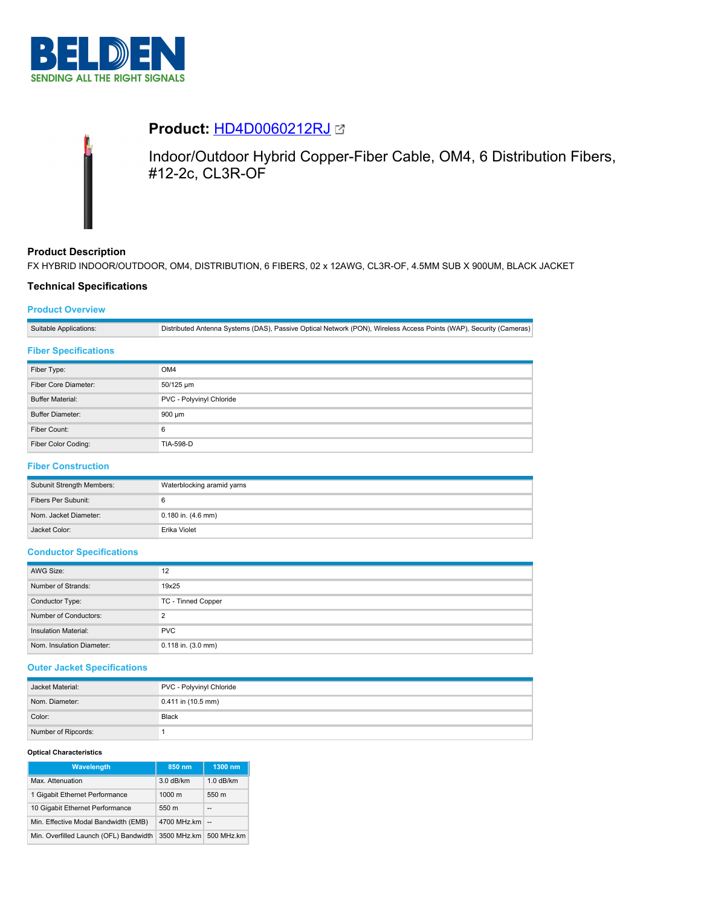



# **Product:** [HD4D0060212RJ](https://catalog.belden.com/index.cfm?event=pd&p=PF_HD4D0060212RJ&tab=downloads)

Indoor/Outdoor Hybrid Copper-Fiber Cable, OM4, 6 Distribution Fibers, #12-2c, CL3R-OF

## **Product Description**

FX HYBRID INDOOR/OUTDOOR, OM4, DISTRIBUTION, 6 FIBERS, 02 x 12AWG, CL3R-OF, 4.5MM SUB X 900UM, BLACK JACKET

## **Technical Specifications**

## **Product Overview**

Suitable Applications: Distributed Antenna Systems (DAS), Passive Optical Network (PON), Wireless Access Points (WAP), Security (Cameras)

## **Fiber Specifications**

| Fiber Type:             | OM4                      |
|-------------------------|--------------------------|
| Fiber Core Diameter:    | 50/125 um                |
| <b>Buffer Material:</b> | PVC - Polyvinyl Chloride |
| <b>Buffer Diameter:</b> | 900 um                   |
| Fiber Count:            | 6                        |
| Fiber Color Coding:     | <b>TIA-598-D</b>         |

# **Fiber Construction**

| Subunit Strength Members: | Waterblocking aramid yarns |
|---------------------------|----------------------------|
| Fibers Per Subunit:       |                            |
| Nom. Jacket Diameter:     | 0.180 in. (4.6 mm)         |
| Jacket Color:             | Erika Violet               |

## **Conductor Specifications**

| AWG Size:                   | 12                        |
|-----------------------------|---------------------------|
| Number of Strands:          | 19x25                     |
| Conductor Type:             | <b>TC - Tinned Copper</b> |
| Number of Conductors:       | ◠                         |
| <b>Insulation Material:</b> | <b>PVC</b>                |
| Nom. Insulation Diameter:   | $0.118$ in. $(3.0$ mm)    |

## **Outer Jacket Specifications**

| Jacket Material:    | PVC - Polyvinyl Chloride |
|---------------------|--------------------------|
| Nom. Diameter:      | $0.411$ in (10.5 mm)     |
| Color:              | Black                    |
| Number of Ripcords: |                          |

#### **Optical Characteristics**

| <b>Wavelength</b>                      | 850 nm           | 1300 nm     |
|----------------------------------------|------------------|-------------|
| Max. Attenuation                       | 3.0 dB/km        | $1.0$ dB/km |
| 1 Gigabit Ethernet Performance         | $1000 \text{ m}$ | 550 m       |
| 10 Gigabit Ethernet Performance        | 550 m            | --          |
| Min. Effective Modal Bandwidth (EMB)   | 4700 MHz.km      | $\sim$      |
| Min. Overfilled Launch (OFL) Bandwidth | 3500 MHz.km      | 500 MHz.km  |